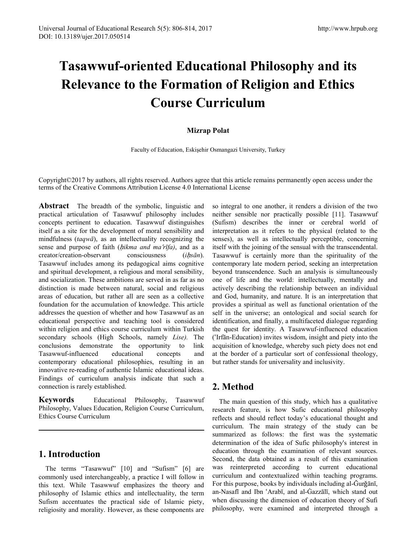# **Tasawwuf-oriented Educational Philosophy and its Relevance to the Formation of Religion and Ethics Course Curriculum**

#### **Mizrap Polat**

Faculty of Education, Eskişehir Osmangazi University, Turkey

Copyright©2017 by authors, all rights reserved. Authors agree that this article remains permanently open access under the terms of the Creative Commons Attribution License 4.0 International License

**Abstract** The breadth of the symbolic, linguistic and practical articulation of Tasawwuf philosophy includes concepts pertinent to education. Tasawwuf distinguishes itself as a site for the development of moral sensibility and mindfulness (*taqwā*), as an intellectuality recognizing the sense and purpose of faith *(hikma and ma'rīfa)*, and as a creator/creation-observant consciousness (*i*ḥ*sān*). Tasawwuf includes among its pedagogical aims cognitive and spiritual development, a religious and moral sensibility, and socialization. These ambitions are served in as far as no distinction is made between natural, social and religious areas of education, but rather all are seen as a collective foundation for the accumulation of knowledge. This article addresses the question of whether and how Tasawwuf as an educational perspective and teaching tool is considered within religion and ethics course curriculum within Turkish secondary schools (High Schools, namely *Lise).* The conclusions demonstrate the opportunity to link Tasawwuf-influenced educational concepts and contemporary educational philosophies, resulting in an innovative re-reading of authentic Islamic educational ideas. Findings of curriculum analysis indicate that such a connection is rarely established.

**Keywords** Educational Philosophy, Tasawwuf Philosophy, Values Education, Religion Course Curriculum, Ethics Course Curriculum

# **1. Introduction**

The terms "Tasawwuf" [10] and "Sufism" [6] are commonly used interchangeably, a practice I will follow in this text. While Tasawwuf emphasizes the theory and philosophy of Islamic ethics and intellectuality, the term Sufism accentuates the practical side of Islamic piety, religiosity and morality. However, as these components are so integral to one another, it renders a division of the two neither sensible nor practically possible [11]. Tasawwuf (Sufism) describes the inner or cerebral world of interpretation as it refers to the physical (related to the senses), as well as intellectually perceptible, concerning itself with the joining of the sensual with the transcendental. Tasawwuf is certainly more than the spirituality of the contemporary late modern period, seeking an interpretation beyond transcendence. Such an analysis is simultaneously one of life and the world: intellectually, mentally and actively describing the relationship between an individual and God, humanity, and nature. It is an interpretation that provides a spiritual as well as functional orientation of the self in the universe; an ontological and social search for identification, and finally, a multifaceted dialogue regarding the quest for identity. A Tasawwuf-influenced education (ʿIrfān-Education) invites wisdom, insight and piety into the acquisition of knowledge, whereby such piety does not end at the border of a particular sort of confessional theology, but rather stands for universality and inclusivity.

# **2. Method**

The main question of this study, which has a qualitative research feature, is how Sufic educational philosophy reflects and should reflect today's educational thought and curriculum. The main strategy of the study can be summarized as follows: the first was the systematic determination of the idea of Sufic philosophy's interest in education through the examination of relevant sources. Second, the data obtained as a result of this examination was reinterpreted according to current educational curriculum and contextualized within teaching programs. For this purpose, books by individuals including al-Ğurǧānī, an-Nasafī and Ibn ʿArabī, and al-Ġazzālī, which stand out when discussing the dimension of education theory of Sufi philosophy, were examined and interpreted through a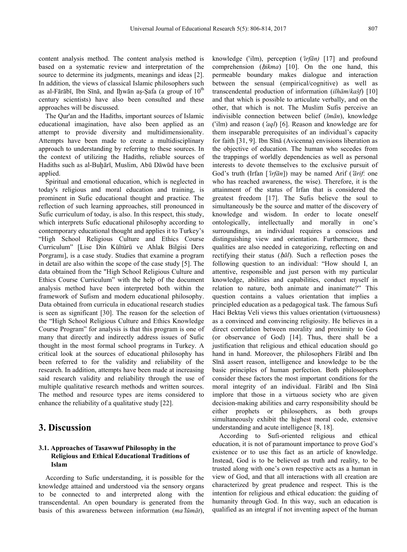content analysis method. The content analysis method is based on a systematic review and interpretation of the source to determine its judgments, meanings and ideas [2]. In addition, the views of classical Islamic philosophers such as al-Fārābī, Ibn Sīnā, and Iḩwān aṣ-Ṣafa (a group of  $10<sup>th</sup>$ century scientists) have also been consulted and these approaches will be discussed.

The Qur'an and the Hadiths, important sources of Islamic educational imagination, have also been applied as an attempt to provide diversity and multidimensionality. Attempts have been made to create a multidisciplinary approach to understanding by referring to these sources. In the context of utilizing the Hadiths, reliable sources of Hadiths such as al-Buḫārī, Muslim, Abū Dāwūd have been applied.

Spiritual and emotional education, which is neglected in today's religious and moral education and training, is prominent in Sufic educational thought and practice. The reflection of such learning approaches, still pronounced in Sufic curriculum of today, is also. In this respect, this study, which interprets Sufic educational philosophy according to contemporary educational thought and applies it to Turkey's "High School Religious Culture and Ethics Course Curriculum" [Lise Din Kültürü ve Ahlak Bilgisi Ders Porgramı], is a case study. Studies that examine a program in detail are also within the scope of the case study [5]. The data obtained from the "High School Religious Culture and Ethics Course Curriculum" with the help of the document analysis method have been interpreted both within the framework of Sufism and modern educational philosophy. Data obtained from curricula in educational research studies is seen as significant [30]. The reason for the selection of the "High School Religious Culture and Ethics Knowledge Course Program" for analysis is that this program is one of many that directly and indirectly address issues of Sufic thought in the most formal school programs in Turkey. A critical look at the sources of educational philosophy has been referred to for the validity and reliability of the research. In addition, attempts have been made at increasing said research validity and reliability through the use of multiple qualitative research methods and written sources. The method and resource types are items considered to enhance the reliability of a qualitative study [22].

## **3. Discussion**

#### **3.1. Approaches of Tasawwuf Philosophy in the Religious and Ethical Educational Traditions of Islam**

According to Sufic understanding, it is possible for the knowledge attained and understood via the sensory organs to be connected to and interpreted along with the transcendental. An open boundary is generated from the basis of this awareness between information (*ma lūmāt*),

knowledge (ʿilm), perception (ʿ*irfān)* [17] and profound comprehension (hikma) [10]. On the one hand, this permeable boundary makes dialogue and interaction between the sensual (empirical/cognitive) as well as transcendental production of information (*ilhām*/*kašf*) [10] and that which is possible to articulate verbally, and on the other, that which is not. The Muslim Sufis perceive an indivisible connection between belief (*īmān*), knowledge (ʿilm) and reason (ʿ*aql*) [6]. Reason and knowledge are for them inseparable prerequisites of an individual's capacity for faith [31, 9]. Ibn Sīnā (Avicenna) envisions liberation as the objective of education. The human who secedes from the trappings of worldly dependencies as well as personal interests to devote themselves to the exclusive pursuit of God's truth (Irfan [ʿ*irfān*]) may be named Arif (ʿ*ārif*: one who has reached awareness, the wise). Therefore, it is the attainment of the status of Irfan that is considered the greatest freedom [17]. The Sufis believe the soul to simultaneously be the source and matter of the discovery of knowledge and wisdom. In order to locate oneself ontologically, intellectually and morally in one's surroundings, an individual requires a conscious and distinguishing view and orientation. Furthermore, these qualities are also needed in categorizing, reflecting on and rectifying their status (hal). Such a reflection poses the following question to an individual: "How should I, an attentive, responsible and just person with my particular knowledge, abilities and capabilities, conduct myself in relation to nature, both animate and inanimate?" This question contains a values orientation that implies a principled education as a pedagogical task. The famous Sufi Haci Bektaş Veli views this values orientation (virtuousness) as a convinced and convincing religiosity. He believes in a direct correlation between morality and proximity to God (or observance of God) [14]. Thus, there shall be a justification that religious and ethical education should go hand in hand. Moreover, the philosophers Fārābī and Ibn Sīnā assert reason, intelligence and knowledge to be the basic principles of human perfection. Both philosophers consider these factors the most important conditions for the moral integrity of an individual. Fārābī and Ibn Sīnā implore that those in a virtuous society who are given decision-making abilities and carry responsibility should be either prophets or philosophers, as both groups simultaneously exhibit the highest moral code, extensive understanding and acute intelligence [8, 18].

According to Sufi-oriented religious and ethical education, it is not of paramount importance to prove God's existence or to use this fact as an article of knowledge. Instead, God is to be believed as truth and reality, to be trusted along with one's own respective acts as a human in view of God, and that all interactions with all creation are characterized by great prudence and respect. This is the intention for religious and ethical education: the guiding of humanity through God. In this way, such an education is qualified as an integral if not inventing aspect of the human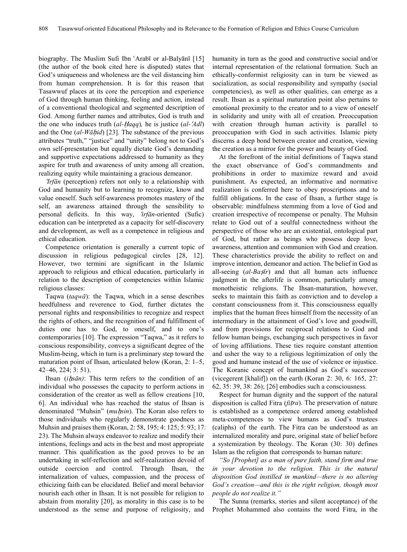biography. The Muslim Sufi Ibn ʿArabī or al-Balyānī [15] (the author of the book cited here is disputed) states that God's uniqueness and wholeness are the veil distancing him from human comprehension. It is for this reason that Tasawwuf places at its core the perception and experience of God through human thinking, feeling and action, instead of a conventional theological and segmented description of God. Among further names and attributes, God is truth and the one who induces truth (*al-*Ḥ*aqq*)*,* he is justice (*al-*ʿ*Adl*) and the One (*al-Wā*ḥ*id*) [23]. The substance of the previous attributes "truth," "justice" and "unity" belong not to God's own self-presentation but equally dictate God's demanding and supportive expectations addressed to humanity as they aspire for truth and awareness of unity among all creation, realizing equity while maintaining a gracious demeanor.

*Irfān* (perception) refers not only to a relationship with God and humanity but to learning to recognize, know and value oneself. Such self-awareness promotes mastery of the self, an awareness attained through the sensibility to personal deficits. In this way, ʿ*irfān*-oriented (Sufic) education can be interpreted as a capacity for self-discovery and development, as well as a competence in religious and ethical education.

Competence orientation is generally a current topic of discussion in religious pedagogical circles [28, 12]. However, two termini are significant in the Islamic approach to religious and ethical education, particularly in relation to the description of competencies within Islamic religious classes:

Taqwa (*taqwā*): the Taqwa, which in a sense describes heedfulness and reverence to God, further dictates the personal rights and responsibilities to recognize and respect the rights of others, and the recognition of and fulfillment of duties one has to God, to oneself, and to one's contemporaries [10]. The expression "Taqwa," as it refers to conscious responsibility, conveys a significant degree of the Muslim-being, which in turn is a preliminary step toward the maturation point of Ihsan, articulated below (Koran, 2: 1–5, 42–46, 224; 3: 51).

Ihsan (*i*ḥ*sān)*: This term refers to the condition of an individual who possesses the capacity to perform actions in consideration of the creator as well as fellow creations [10, 6]. An individual who has reached the status of Ihsan is denominated "Muhsin" (*muḥsin*). The Koran also refers to those individuals who regularly demonstrate goodness as Muhsin and praises them (Koran, 2: 58, 195; 4: 125; 5: 93; 17: 23). The Muhsin always endeavor to realize and modify their intentions, feelings and acts in the best and most appropriate manner. This qualification as the good proves to be an undertaking in self-reflection and self-realization devoid of outside coercion and control. Through Ihsan, the internalization of values, compassion, and the process of ethicizing faith can be elucidated. Belief and moral behavior nourish each other in Ihsan. It is not possible for religion to abstain from morality [20], as morality in this case is to be understood as the sense and purpose of religiosity, and

humanity in turn as the good and constructive social and/or internal representation of the relational formation. Such an ethically-conformist religiosity can in turn be viewed as socialization, as social responsibility and sympathy (social competencies), as well as other qualities, can emerge as a result. Ihsan as a spiritual maturation point also pertains to emotional proximity to the creator and to a view of oneself in solidarity and unity with all of creation. Preoccupation with creation through human activity is parallel to preoccupation with God in such activities. Islamic piety discerns a deep bond between creator and creation, viewing the creation as a mirror for the power and beauty of God.

At the forefront of the initial definitions of Taqwa stand the exact observance of God's commandments and prohibitions in order to maximize reward and avoid punishment. As expected, an informative and normative realization is conferred here to obey proscriptions and to fulfill obligations. In the case of Ihsan, a further stage is observable: mindfulness stemming from a love of God and creation irrespective of recompense or penalty. The Muhsin relate to God out of a soulful connectedness without the perspective of those who are an existential, ontological part of God, but rather as beings who possess deep love, awareness, attention and communion with God and creation. These characteristics provide the ability to reflect on and improve intention, demeanor and action. The belief in God as all-seeing (*al-Ba*ṣ*īr*) and that all human acts influence judgment in the afterlife is common, particularly among monotheistic religions. The Ihsan-maturation, however, seeks to maintain this faith as conviction and to develop a constant consciousness from it. This consciousness equally implies that the human frees himself from the necessity of an intermediary in the attainment of God's love and goodwill, and from provisions for reciprocal relations to God and fellow human beings, exchanging such perspectives in favor of loving affiliations. These ties require constant attention and usher the way to a religious legitimization of only the good and humane instead of the use of violence or injustice. The Koranic concept of humankind as God's successor (vicegerent [khalif]) on the earth (Koran 2: 30, 6: 165, 27: 62, 35: 39, 38: 26); [26] embodies such a consciousness.

Respect for human dignity and the support of the natural disposition is called Fitra (*fitra*). The preservation of nature is established as a competence ordered among established meta-competences to view humans as God's trustees (caliphs) of the earth. The Fitra can be understood as an internalized morality and pure, original state of belief before a systemization by theology. The Koran (30: 30) defines Islam as the religion that corresponds to human nature:

*"So [Prophet] as a man of pure faith, stand firm and true in your devotion to the religion. This is the natural disposition God instilled in mankind—there is no altering God's creation—and this is the right religion, though most people do not realize it."*

The Sunna (remarks, stories and silent acceptance) of the Prophet Mohammed also contains the word Fitra, in the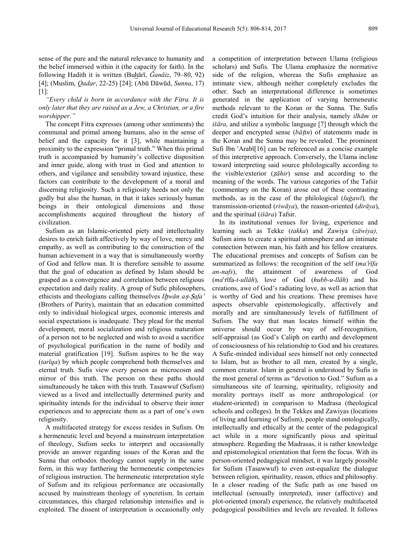sense of the pure and the natural relevance to humanity and the belief immersed within it (the capacity for faith). In the following Hadith it is written (Buhārī, *Ğanāiz*, 79–80, 92) [4]; (Muslim, *Qadar*, 22-25) [24]; (Abū Dāwūd, *Sunna*, 17) [1]:

*"Every child is born in accordance with the Fitra. It is only later that they are raised as a Jew, a Christian, or a fire worshipper."*

The concept Fitra expresses (among other sentiments) the communal and primal among humans, also in the sense of belief and the capacity for it [3], while maintaining a proximity to the expression "primal truth." When this primal truth is accompanied by humanity's collective disposition and inner guide, along with trust in God and attention to others, and vigilance and sensibility toward injustice, these factors can contribute to the development of a moral and discerning religiosity. Such a religiosity heeds not only the godly but also the human, in that it takes seriously human beings in their ontological dimensions and those accomplishments acquired throughout the history of civilization.

Sufism as an Islamic-oriented piety and intellectuality desires to enrich faith affectively by way of love, mercy and empathy, as well as contributing to the construction of the human achievement in a way that is simultaneously worthy of God and fellow man. It is therefore sensible to assume that the goal of education as defined by Islam should be grasped as a convergence and correlation between religious expectation and daily reality. A group of Sufic philosophers, ethicists and theologians calling themselves *I*ḫ*wān a*ṣ*-*Ṣ*afa*<sup>ʾ</sup> (Brothers of Purity), maintain that an education committed only to individual biological urges, economic interests and social expectations is inadequate. They plead for the mental development, moral socialization and religious maturation of a person not to be neglected and wish to avoid a sacrifice of psychological purification in the name of bodily and material gratification [19]. Sufism aspires to be the way (*tarīqa*) by which people comprehend both themselves and eternal truth. Sufis view every person as microcosm and mirror of this truth. The person on these paths should simultaneously be taken with this truth. Tasawwuf (Sufism) viewed as a lived and intellectually determined purity and spirituality intends for the individual to observe their inner experiences and to appreciate them as a part of one's own religiosity.

A multifaceted strategy for excess resides in Sufism. On a hermeneutic level and beyond a mainstream interpretation of theology, Sufism seeks to interpret and occasionally provide an answer regarding issues of the Koran and the Sunna that orthodox theology cannot supply in the same form, in this way furthering the hermeneutic competencies of religious instruction. The hermeneutic interpretation style of Sufism and its religious performance are occasionally accused by mainstream theology of syncretism. In certain circumstances, this charged relationship intensifies and is exploited. The dissent of interpretation is occasionally only

a competition of interpretation between Ulama (religious scholars) and Sufis. The Ulama emphasize the normative side of the religion, whereas the Sufis emphasize an intimate view, although neither completely excludes the other. Such an interpretational difference is sometimes generated in the application of varying hermeneutic methods relevant to the Koran or the Sunna. The Sufis credit God's intuition for their analysis, namely *ilhām* or *išāra,* and utilize a symbolic language [7] through which the deeper and encrypted sense (*bā*ṭ*in*) of statements made in the Koran and the Sunna may be revealed. The prominent Sufi Ibn ʿArabī[16] can be referenced as a concise example of this interpretive approach. Conversely, the Ulama incline toward interpreting said source philologically according to the visible/exterior (ẓ*āhir*) sense and according to the meaning of the words. The various categories of the Tafsir (commentary on the Koran) arose out of these contrasting methods, as in the case of the philological (*luġawī*)*,* the transmission-oriented (*riwāya*), the reason-oriented (*dirāya*), and the spiritual (*išāra*) Tafsir.

In its institutional venues for living, experience and learning such as Tekke (*takka*) and Zawiya (*zāwiya),*  Sufism aims to create a spiritual atmosphere and an intimate connection between man, his faith and his fellow creatures. The educational premises and concepts of Sufism can be summarized as follows: the recognition of the self (*ma rīfa an-nafs*), the attainment of awareness of God (*ma*ʿrīfa*-t-ullāh*), love of God (*hubb-u-llāh*) and his creations, awe of God's radiating love, as well as action that is worthy of God and his creations. These premises have aspects observable epistemologically, affectively and morally and are simultaneously levels of fulfillment of Sufism. The way that man locates himself within the universe should occur by way of self-recognition, self-appraisal (as God's Caliph on earth) and development of consciousness of his relationship to God and his creatures. A Sufic-minded individual sees himself not only connected to Islam, but as brother to all men, created by a single, common creator. Islam in general is understood by Sufis in the most general of terms as "devotion to God." Sufism as a simultaneous site of learning, spirituality, religiosity and morality portrays itself as more anthropological (or student-oriented) in comparison to Madrasa (theological schools and colleges). In the Tekkes and Zawiyas (locations of living and learning of Sufism), people stand ontologically, intellectually and ethically at the center of the pedagogical act while in a more significantly pious and spiritual atmosphere. Regarding the Madrasas, it is rather knowledge and epistemological orientation that form the focus. With its person-oriented pedagogical mindset, it was largely possible for Sufism (Tasawwuf) to even out-equalize the dialogue between religion, spirituality, reason, ethics and philosophy. In a closer reading of the Sufic path as one based on intellectual (sensually interpreted), inner (affective) and plot-oriented (moral) experience, the relatively multifaceted pedagogical possibilities and levels are revealed. It follows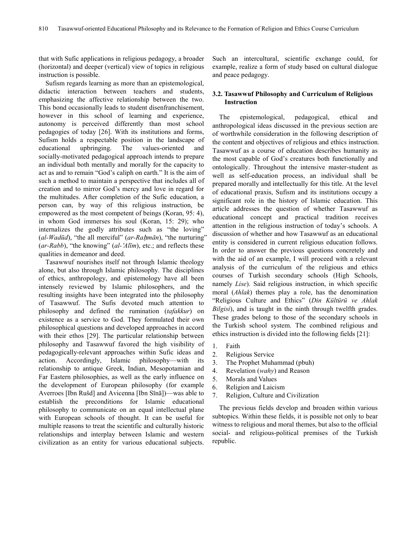that with Sufic applications in religious pedagogy, a broader (horizontal) and deeper (vertical) view of topics in religious instruction is possible.

Sufism regards learning as more than an epistemological, didactic interaction between teachers and students, emphasizing the affective relationship between the two. This bond occasionally leads to student disenfranchisement, however in this school of learning and experience, autonomy is perceived differently than most school pedagogies of today [26]. With its institutions and forms, Sufism holds a respectable position in the landscape of educational upbringing. The values-oriented and socially-motivated pedagogical approach intends to prepare an individual both mentally and morally for the capacity to act as and to remain "God's caliph on earth." It is the aim of such a method to maintain a perspective that includes all of creation and to mirror God's mercy and love in regard for the multitudes. After completion of the Sufic education, a person can, by way of this religious instruction, be empowered as the most competent of beings (Koran, 95: 4), in whom God immerses his soul (Koran, 15: 29); who internalizes the godly attributes such as "the loving" (*al-Wadūd*), "the all merciful" (*ar-Raḥmān*), "the nurturing" (*ar-Rabb*), "the knowing" (*al-*ʿ*Alīm*), etc.; and reflects these qualities in demeanor and deed.

Tasawwuf nourishes itself not through Islamic theology alone, but also through Islamic philosophy. The disciplines of ethics, anthropology, and epistemology have all been intensely reviewed by Islamic philosophers, and the resulting insights have been integrated into the philosophy of Tasawwuf. The Sufis devoted much attention to philosophy and defined the rumination (*tafakkur*) on existence as a service to God. They formulated their own philosophical questions and developed approaches in accord with their ethos [29]. The particular relationship between philosophy and Tasawwuf favored the high visibility of pedagogically-relevant approaches within Sufic ideas and action. Accordingly, Islamic philosophy—with its relationship to antique Greek, Indian, Mesopotamian and Far Eastern philosophies, as well as the early influence on the development of European philosophy (for example Averroes [Ibn Rušd] and Avicenna [Ibn Sīnā])—was able to establish the preconditions for Islamic educational philosophy to communicate on an equal intellectual plane with European schools of thought. It can be useful for multiple reasons to treat the scientific and culturally historic relationships and interplay between Islamic and western civilization as an entity for various educational subjects.

Such an intercultural, scientific exchange could, for example, realize a form of study based on cultural dialogue and peace pedagogy.

#### **3.2. Tasawwuf Philosophy and Curriculum of Religious Instruction**

The epistemological, pedagogical, ethical and anthropological ideas discussed in the previous section are of worthwhile consideration in the following description of the content and objectives of religious and ethics instruction. Tasawwuf as a course of education describes humanity as the most capable of God's creatures both functionally and ontologically. Throughout the intensive master-student as well as self-education process, an individual shall be prepared morally and intellectually for this title. At the level of educational praxis, Sufism and its institutions occupy a significant role in the history of Islamic education. This article addresses the question of whether Tasawwuf as educational concept and practical tradition receives attention in the religious instruction of today's schools. A discussion of whether and how Tasawwuf as an educational entity is considered in current religious education follows. In order to answer the previous questions concretely and with the aid of an example, I will proceed with a relevant analysis of the curriculum of the religious and ethics courses of Turkish secondary schools (High Schools, namely *Lise*). Said religious instruction, in which specific moral (*Ahlak*) themes play a role, has the denomination "Religious Culture and Ethics" (*Din Kültürü ve Ahlak Bilgisi*), and is taught in the ninth through twelfth grades. These grades belong to those of the secondary schools in the Turkish school system. The combined religious and ethics instruction is divided into the following fields [21]:

- 1. Faith
- 2. Religious Service
- 3. The Prophet Muhammad (pbuh)
- 4. Revelation (*wahy*) and Reason
- 5. Morals and Values
- 6. Religion and Laicism
- 7. Religion, Culture and Civilization

The previous fields develop and broaden within various subtopics. Within these fields, it is possible not only to bear witness to religious and moral themes, but also to the official social- and religious-political premises of the Turkish republic.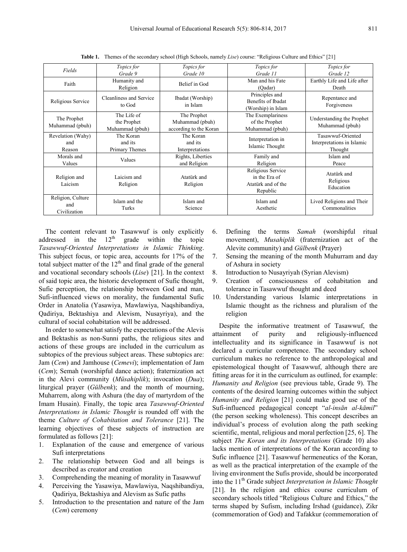| Fields                                   | Topics for<br>Grade 9                         | <i>Topics for</i><br>Grade 10                            | <i>Topics for</i><br>Grade 11                                        | Topics for<br>Grade 12                                     |
|------------------------------------------|-----------------------------------------------|----------------------------------------------------------|----------------------------------------------------------------------|------------------------------------------------------------|
| Faith                                    | Humanity and<br>Religion                      | Belief in God                                            | Man and his Fate<br>(Oadar)                                          | Earthly Life and Life after<br>Death                       |
| Religious Service                        | Cleanliness and Service<br>to God             | Ibadat (Worship)<br>in Islam                             | Principles and<br>Benefits of Ibadat<br>(Worship) in Islam           | Repentance and<br>Forgiveness                              |
| The Prophet<br>Muhammad (pbuh)           | The Life of<br>the Prophet<br>Muhammad (pbuh) | The Prophet<br>Muhammad (pbuh)<br>according to the Koran | The Exemplariness<br>of the Prophet<br>Muhammad (pbuh)               | Understanding the Prophet<br>Muhammad (pbuh)               |
| Revelation (Wahy)<br>and<br>Reason       | The Koran<br>and its<br>Primary Themes        | The Koran<br>and its<br>Interpretations                  | Interpretation in<br>Islamic Thought                                 | Tasawwuf-Oriented<br>Interpretations in Islamic<br>Thought |
| Morals and<br>Values                     | Values                                        | Rights, Liberties<br>and Religion                        | Family and<br>Religion                                               | Islam and<br>Peace                                         |
| Religion and<br>Laicism                  | Laicism and<br>Religion                       | Atatürk and<br>Religion                                  | Religious Service<br>in the Era of<br>Atatürk and of the<br>Republic | Atatürk and<br>Religious<br>Education                      |
| Religion, Culture<br>and<br>Civilization | Islam and the<br>Turks                        | Islam and<br>Science                                     | Islam and<br>Aesthetic                                               | Lived Religions and Their<br>Commonalities                 |

**Table 1.** Themes of the secondary school (High Schools, namely *Lise*) course: "Religious Culture and Ethics" [21]

The content relevant to Tasawwuf is only explicitly addressed in the  $12<sup>th</sup>$  grade within the topic *Tasawwuf-Oriented Interpretations in Islamic Thinking*. This subject focus, or topic area, accounts for 17% of the total subject matter of the  $12<sup>th</sup>$  and final grade of the general and vocational secondary schools (*Lise*) [21]. In the context of said topic area, the historic development of Sufic thought, Sufic perception, the relationship between God and man, Sufi-influenced views on morality, the fundamental Sufic Order in Anatolia (Yasawiya, Mawlawiya, Naqshibandiya, Qadiriya, Bektashiya and Alevism, Nusayriya), and the cultural of social cohabitation will be addressed.

In order to somewhat satisfy the expectations of the Alevis and Bektashis as non-Sunni paths, the religious sites and actions of these groups are included in the curriculum as subtopics of the previous subject areas. These subtopics are: Jam (*Cem*) and Jamhouse (*Cemevi*); implementation of Jam (*Cem*); Semah (worshipful dance action); fraternization act in the Alevi community (*Müsahiplik*); invocation (*Dua*); liturgical prayer (*Gülbenk*); and the month of mourning, Muharrem, along with Ashura (the day of martyrdom of the Imam Husain). Finally, the topic area *Tasawwuf-Oriented Interpretations in Islamic Thought* is rounded off with the theme *Culture of Cohabitation and Tolerance* [21]. The learning objectives of these subjects of instruction are formulated as follows [21]:

- 1. Explanation of the cause and emergence of various Sufi interpretations
- 2. The relationship between God and all beings is described as creator and creation
- 3. Comprehending the meaning of morality in Tasawwuf
- 4. Perceiving the Yasawiya, Mawlawiya, Naqshibandiya, Qadiriya, Bektashiya and Alevism as Sufic paths
- 5. Introduction to the presentation and nature of the Jam (*Cem*) ceremony
- 6. Defining the terms *Samah* (worshipful ritual movement), *Musahiplik* (fraternization act of the Alevite community) and *Gülbenk* (Prayer)
- 7. Sensing the meaning of the month Muhurram and day of Ashura in society
- 8. Introduction to Nusayriyah (Syrian Alevism)
- 9. Creation of consciousness of cohabitation and tolerance in Tasawwuf thought and deed
- 10. Understanding various Islamic interpretations in Islamic thought as the richness and pluralism of the religion

Despite the informative treatment of Tasawwuf, the attainment of purity and religiously-influenced intellectuality and its significance in Tasawwuf is not declared a curricular competence. The secondary school curriculum makes no reference to the anthropological and epistemological thought of Tasawwuf, although there are fitting areas for it in the curriculum as outlined, for example: *Humanity and Religion* (see previous table, Grade 9). The contents of the desired learning outcomes within the subject *Humanity and Religion* [21] could make good use of the Sufi-influenced pedagogical concept "*al-insān al-kāmil*" (the person seeking wholeness). This concept describes an individual's process of evolution along the path seeking scientific, mental, religious and moral perfection [25, 6]. The subject *The Koran and its Interpretations* (Grade 10) also lacks mention of interpretations of the Koran according to Sufic influence [21]. Tasawwuf hermeneutics of the Koran, as well as the practical interpretation of the example of the living environment the Sufis provide, should be incorporated into the 11<sup>th</sup> Grade subject *Interpretation in Islamic Thought* [21]. In the religion and ethics course curriculum of secondary schools titled "Religious Culture and Ethics," the terms shaped by Sufism, including Irshad (guidance), Zikr (commemoration of God) and Tafakkur (commemoration of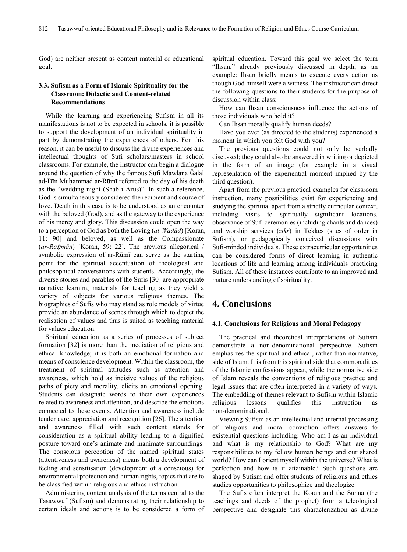God) are neither present as content material or educational goal.

#### **3.3. Sufism as a Form of Islamic Spirituality for the Classroom: Didactic and Content-related Recommendations**

While the learning and experiencing Sufism in all its manifestations is not to be expected in schools, it is possible to support the development of an individual spirituality in part by demonstrating the experiences of others. For this reason, it can be useful to discuss the divine experiences and intellectual thoughts of Sufi scholars/masters in school classrooms. For example, the instructor can begin a dialogue around the question of why the famous Sufi Mawlānā Ǧalāl ad-Dīn Muḥammad ar-Rūmī referred to the day of his death as the "wedding night (Shab-i Arus)". In such a reference, God is simultaneously considered the recipient and source of love. Death in this case is to be understood as an encounter with the beloved (God), and as the gateway to the experience of his mercy and glory. This discussion could open the way to a perception of God as both the Loving (*al-Wadūd*) [Koran, 11: 90] and beloved, as well as the Compassionate (*ar-Ra*ḥ*mān*) [Koran, 59: 22]. The previous allegorical / symbolic expression of ar-Rūmī can serve as the starting point for the spiritual accentuation of theological and philosophical conversations with students. Accordingly, the diverse stories and parables of the Sufis [30] are appropriate narrative learning materials for teaching as they yield a variety of subjects for various religious themes. The biographies of Sufis who may stand as role models of virtue provide an abundance of scenes through which to depict the realisation of values and thus is suited as teaching material for values education.

Spiritual education as a series of processes of subject formation [32] is more than the mediation of religious and ethical knowledge; it is both an emotional formation and means of conscience development. Within the classroom, the treatment of spiritual attitudes such as attention and awareness, which hold as incisive values of the religious paths of piety and morality, elicits an emotional opening. Students can designate words to their own experiences related to awareness and attention, and describe the emotions connected to these events. Attention and awareness include tender care, appreciation and recognition [26]. The attention and awareness filled with such content stands for consideration as a spiritual ability leading to a dignified posture toward one's animate and inanimate surroundings. The conscious perception of the named spiritual states (attentiveness and awareness) means both a development of feeling and sensitisation (development of a conscious) for environmental protection and human rights, topics that are to be classified within religious and ethics instruction.

Administering content analysis of the terms central to the Tasawwuf (Sufism) and demonstrating their relationship to certain ideals and actions is to be considered a form of spiritual education. Toward this goal we select the term "Ihsan," already previously discussed in depth, as an example: Ihsan briefly means to execute every action as though God himself were a witness. The instructor can direct the following questions to their students for the purpose of discussion within class:

How can Ihsan consciousness influence the actions of those individuals who hold it?

Can Ihsan morally qualify human deeds?

Have you ever (as directed to the students) experienced a moment in which you felt God with you?

The previous questions could not only be verbally discussed; they could also be answered in writing or depicted in the form of an image (for example in a visual representation of the experiential moment implied by the third question).

Apart from the previous practical examples for classroom instruction, many possibilities exist for experiencing and studying the spiritual apart from a strictly curricular context, including visits to spiritually significant locations, observance of Sufi ceremonies (including chants and dances) and worship services (*zikr*) in Tekkes (sites of order in Sufism), or pedagogically conceived discussions with Sufi-minded individuals. These extracurricular opportunities can be considered forms of direct learning in authentic locations of life and learning among individuals practicing Sufism. All of these instances contribute to an improved and mature understanding of spirituality.

# **4. Conclusions**

#### **4.1. Conclusions for Religious and Moral Pedagogy**

The practical and theoretical interpretations of Sufism demonstrate a non-denominational perspective. Sufism emphasizes the spiritual and ethical, rather than normative, side of Islam. It is from this spiritual side that commonalities of the Islamic confessions appear, while the normative side of Islam reveals the conventions of religious practice and legal issues that are often interpreted in a variety of ways. The embedding of themes relevant to Sufism within Islamic religious lessons qualifies this instruction as non-denominational.

Viewing Sufism as an intellectual and internal processing of religious and moral conviction offers answers to existential questions including: Who am I as an individual and what is my relationship to God? What are my responsibilities to my fellow human beings and our shared world? How can I orient myself within the universe? What is perfection and how is it attainable? Such questions are shaped by Sufism and offer students of religious and ethics studies opportunities to philosophize and theologize.

The Sufis often interpret the Koran and the Sunna (the teachings and deeds of the prophet) from a teleological perspective and designate this characterization as divine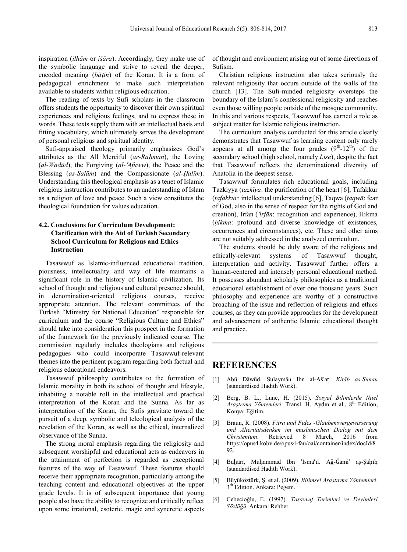inspiration (*ilhām* or *išāra*). Accordingly, they make use of the symbolic language and strive to reveal the deeper, encoded meaning (*bātin*) of the Koran. It is a form of pedagogical enrichment to make such interpretation available to students within religious education.

The reading of texts by Sufi scholars in the classroom offers students the opportunity to discover their own spiritual experiences and religious feelings, and to express these in words. These texts supply them with an intellectual basis and fitting vocabulary, which ultimately serves the development of personal religious and spiritual identity.

Sufi-appraised theology primarily emphasizes God's attributes as the All Merciful (*ar-Rahmān*), the Loving (*al-Wadūd*), the Forgiving (*al-*ʿ*Afuww*), the Peace and the Blessing (*as-Salām*) and the Compassionate (*al-*Ḥ*alīm*). Understanding this theological emphasis as a tenet of Islamic religious instruction contributes to an understanding of Islam as a religion of love and peace. Such a view constitutes the theological foundation for values education.

#### **4.2. Conclusions for Curriculum Development: Clarification with the Aid of Turkish Secondary School Curriculum for Religious and Ethics Instruction**

Tasawwuf as Islamic-influenced educational tradition, piousness, intellectuality and way of life maintains a significant role in the history of Islamic civilization. Its school of thought and religious and cultural presence should, in denomination-oriented religious courses, receive appropriate attention. The relevant committees of the Turkish "Ministry for National Education" responsible for curriculum and the course "Religious Culture and Ethics" should take into consideration this prospect in the formation of the framework for the previously indicated course. The commission regularly includes theologians and religious pedagogues who could incorporate Tasawwuf-relevant themes into the pertinent program regarding both factual and religious educational endeavors.

Tasawwuf philosophy contributes to the formation of Islamic morality in both its school of thought and lifestyle, inhabiting a notable roll in the intellectual and practical interpretation of the Koran and the Sunna. As far as interpretation of the Koran, the Sufis gravitate toward the pursuit of a deep, symbolic and teleological analysis of the revelation of the Koran, as well as the ethical, internalized observance of the Sunna.

The strong moral emphasis regarding the religiosity and subsequent worshipful and educational acts as endeavors in the attainment of perfection is regarded as exceptional features of the way of Tasawwuf. These features should receive their appropriate recognition, particularly among the teaching content and educational objectives at the upper grade levels. It is of subsequent importance that young people also have the ability to recognize and critically reflect upon some irrational, esoteric, magic and syncretic aspects

of thought and environment arising out of some directions of Sufism.

Christian religious instruction also takes seriously the relevant religiosity that occurs outside of the walls of the church [13]. The Sufi-minded religiosity oversteps the boundary of the Islam's confessional religiosity and reaches even those willing people outside of the mosque community. In this and various respects, Tasawwuf has earned a role as subject matter for Islamic religious instruction.

The curriculum analysis conducted for this article clearly demonstrates that Tasawwuf as learning content only rarely appears at all among the four grades  $(9<sup>th</sup>-12<sup>th</sup>)$  of the secondary school (high school, namely *Lise*), despite the fact that Tasawwuf reflects the denominational diversity of Anatolia in the deepest sense.

Tasawwuf formulates rich educational goals, including Tazkiyya (*tazkīya*: the purification of the heart [6], Tafakkur (*tafakkur:* intellectual understanding [6], Taqwa (*taqwā*: fear of God, also in the sense of respect for the rights of God and creation), Irfan (ʿ*irfān*: recognition and experience), Hikma (*ḥikma*: profound and diverse knowledge of existences, occurrences and circumstances), etc. These and other aims are not suitably addressed in the analyzed curriculum.

The students should be duly aware of the religious and ethically-relevant systems of Tasawwuf thought, interpretation and activity. Tasawwuf further offers a human-centered and intensely personal educational method. It possesses abundant scholarly philosophies as a traditional educational establishment of over one thousand years. Such philosophy and experience are worthy of a constructive broaching of the issue and reflection of religious and ethics courses, as they can provide approaches for the development and advancement of authentic Islamic educational thought and practice.

### **REFERENCES**

- [1] Abū Dāwūd, Sulaymān Ibn al-Ašʿaṯ. *Kitāb as-Sunan* (standardised Hadith Work).
- [2] Berg, B. L., Lune, H. (2015). *Sosyal Bilimlerde Nitel Araştrıma Yöntemleri*. Transl. H. Aydın et al., 8th Edition, Konya: Eğitim.
- [3] Braun, R. (2008). *Fitra und Fides -Glaubensvergewisserung und Alteritätsdenken im muslimischen Dialog mit dem Christentum*. Retrieved 8 March, 2016 from https://opus4.kobv.de/opus4-fau/oai/container/index/docId/8 92.
- [4] Buḫārī, Muḥammad Ibn ʿIsmāʿīl. Aǧ-Ǧāmiʿ aṣ-Ṣāḥīḥ (standardised Hadith Work).
- [5] Büyüköztürk, Ş. et al. (2009). *Bilimsel Araştırma Yöntemleri*. 3<sup>th</sup> Edition. Ankara: Pegem.
- [6] Cebecioğlu, E. (1997). *Tasavvuf Terimleri ve Deyimleri Sözlüğü*. Ankara: Rehber.